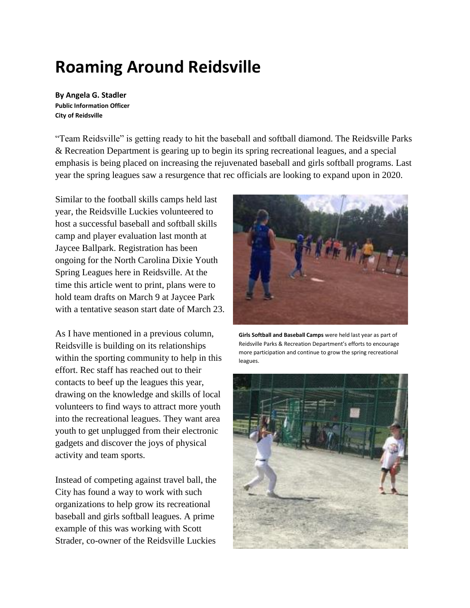## **Roaming Around Reidsville**

**By Angela G. Stadler Public Information Officer City of Reidsville**

"Team Reidsville" is getting ready to hit the baseball and softball diamond. The Reidsville Parks & Recreation Department is gearing up to begin its spring recreational leagues, and a special emphasis is being placed on increasing the rejuvenated baseball and girls softball programs. Last year the spring leagues saw a resurgence that rec officials are looking to expand upon in 2020.

Similar to the football skills camps held last year, the Reidsville Luckies volunteered to host a successful baseball and softball skills camp and player evaluation last month at Jaycee Ballpark. Registration has been ongoing for the North Carolina Dixie Youth Spring Leagues here in Reidsville. At the time this article went to print, plans were to hold team drafts on March 9 at Jaycee Park with a tentative season start date of March 23.

As I have mentioned in a previous column, Reidsville is building on its relationships within the sporting community to help in this effort. Rec staff has reached out to their contacts to beef up the leagues this year, drawing on the knowledge and skills of local volunteers to find ways to attract more youth into the recreational leagues. They want area youth to get unplugged from their electronic gadgets and discover the joys of physical activity and team sports.

Instead of competing against travel ball, the City has found a way to work with such organizations to help grow its recreational baseball and girls softball leagues. A prime example of this was working with Scott Strader, co-owner of the Reidsville Luckies



**Girls Softball and Baseball Camps** were held last year as part of Reidsville Parks & Recreation Department's efforts to encourage more participation and continue to grow the spring recreational leagues.

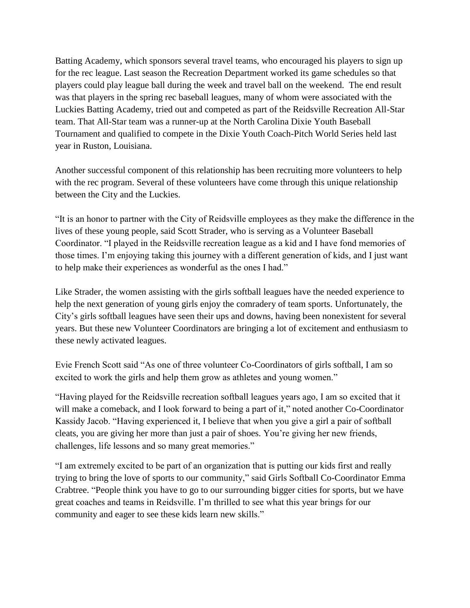Batting Academy, which sponsors several travel teams, who encouraged his players to sign up for the rec league. Last season the Recreation Department worked its game schedules so that players could play league ball during the week and travel ball on the weekend. The end result was that players in the spring rec baseball leagues, many of whom were associated with the Luckies Batting Academy, tried out and competed as part of the Reidsville Recreation All-Star team. That All-Star team was a runner-up at the North Carolina Dixie Youth Baseball Tournament and qualified to compete in the Dixie Youth Coach-Pitch World Series held last year in Ruston, Louisiana.

Another successful component of this relationship has been recruiting more volunteers to help with the rec program. Several of these volunteers have come through this unique relationship between the City and the Luckies.

"It is an honor to partner with the City of Reidsville employees as they make the difference in the lives of these young people, said Scott Strader, who is serving as a Volunteer Baseball Coordinator. "I played in the Reidsville recreation league as a kid and I have fond memories of those times. I'm enjoying taking this journey with a different generation of kids, and I just want to help make their experiences as wonderful as the ones I had."

Like Strader, the women assisting with the girls softball leagues have the needed experience to help the next generation of young girls enjoy the comradery of team sports. Unfortunately, the City's girls softball leagues have seen their ups and downs, having been nonexistent for several years. But these new Volunteer Coordinators are bringing a lot of excitement and enthusiasm to these newly activated leagues.

Evie French Scott said "As one of three volunteer Co-Coordinators of girls softball, I am so excited to work the girls and help them grow as athletes and young women."

"Having played for the Reidsville recreation softball leagues years ago, I am so excited that it will make a comeback, and I look forward to being a part of it," noted another Co-Coordinator Kassidy Jacob. "Having experienced it, I believe that when you give a girl a pair of softball cleats, you are giving her more than just a pair of shoes. You're giving her new friends, challenges, life lessons and so many great memories."

"I am extremely excited to be part of an organization that is putting our kids first and really trying to bring the love of sports to our community," said Girls Softball Co-Coordinator Emma Crabtree. "People think you have to go to our surrounding bigger cities for sports, but we have great coaches and teams in Reidsville. I'm thrilled to see what this year brings for our community and eager to see these kids learn new skills."